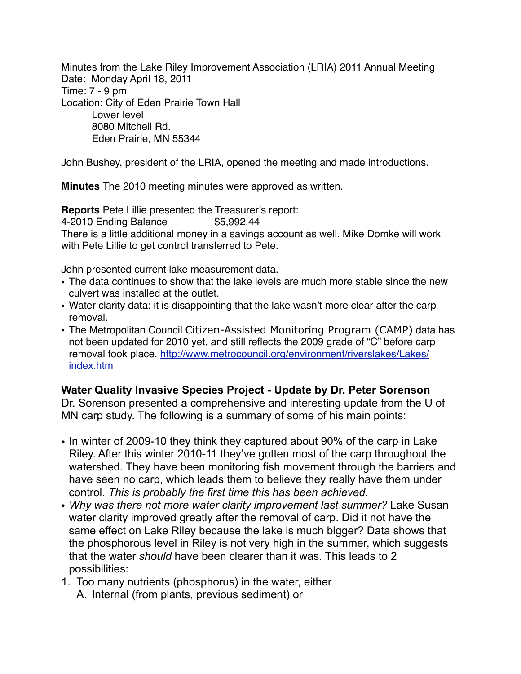Minutes from the Lake Riley Improvement Association (LRIA) 2011 Annual Meeting Date: Monday April 18, 2011 Time: 7 - 9 pm Location: City of Eden Prairie Town Hall Lower level 8080 Mitchell Rd. Eden Prairie, MN 55344

John Bushey, president of the LRIA, opened the meeting and made introductions.

**Minutes** The 2010 meeting minutes were approved as written.

**Reports** Pete Lillie presented the Treasurer's report:

4-2010 Ending Balance \$5,992.44

There is a little additional money in a savings account as well. Mike Domke will work with Pete Lillie to get control transferred to Pete.

John presented current lake measurement data.

- The data continues to show that the lake levels are much more stable since the new culvert was installed at the outlet.
- Water clarity data: it is disappointing that the lake wasn't more clear after the carp removal.
- The Metropolitan Council Citizen-Assisted Monitoring Program (CAMP) data has not been updated for 2010 yet, and still reflects the 2009 grade of "C" before carp removal took place. [http://www.metrocouncil.org/environment/riverslakes/Lakes/](http://www.metrocouncil.org/environment/riverslakes/Lakes/index.htm) [index.htm](http://www.metrocouncil.org/environment/riverslakes/Lakes/index.htm)

## **Water Quality Invasive Species Project - Update by Dr. Peter Sorenson**

Dr. Sorenson presented a comprehensive and interesting update from the U of MN carp study. The following is a summary of some of his main points:

- In winter of 2009-10 they think they captured about 90% of the carp in Lake Riley. After this winter 2010-11 they've gotten most of the carp throughout the watershed. They have been monitoring fish movement through the barriers and have seen no carp, which leads them to believe they really have them under control. *This is probably the first time this has been achieved.*
- *Why was there not more water clarity improvement last summer?* Lake Susan water clarity improved greatly after the removal of carp. Did it not have the same effect on Lake Riley because the lake is much bigger? Data shows that the phosphorous level in Riley is not very high in the summer, which suggests that the water *should* have been clearer than it was. This leads to 2 possibilities:
- 1. Too many nutrients (phosphorus) in the water, either
	- A. Internal (from plants, previous sediment) or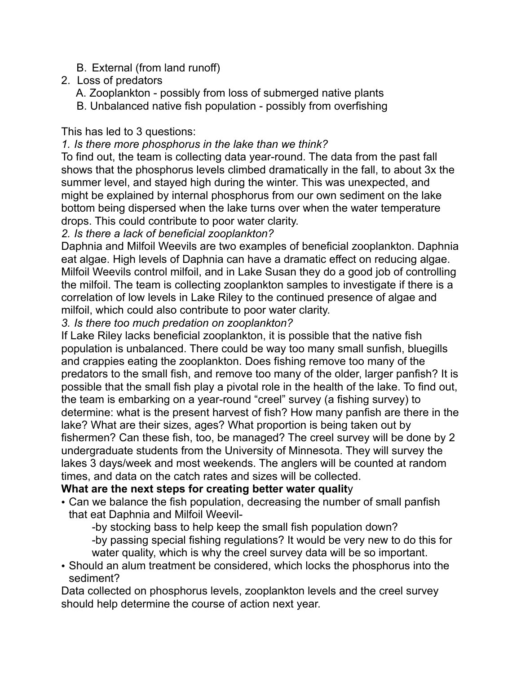- B. External (from land runoff)
- 2. Loss of predators
	- A. Zooplankton possibly from loss of submerged native plants
	- B. Unbalanced native fish population possibly from overfishing

# This has led to 3 questions:

## *1. Is there more phosphorus in the lake than we think?*

To find out, the team is collecting data year-round. The data from the past fall shows that the phosphorus levels climbed dramatically in the fall, to about 3x the summer level, and stayed high during the winter. This was unexpected, and might be explained by internal phosphorus from our own sediment on the lake bottom being dispersed when the lake turns over when the water temperature drops. This could contribute to poor water clarity.

# *2. Is there a lack of beneficial zooplankton?*

Daphnia and Milfoil Weevils are two examples of beneficial zooplankton. Daphnia eat algae. High levels of Daphnia can have a dramatic effect on reducing algae. Milfoil Weevils control milfoil, and in Lake Susan they do a good job of controlling the milfoil. The team is collecting zooplankton samples to investigate if there is a correlation of low levels in Lake Riley to the continued presence of algae and milfoil, which could also contribute to poor water clarity.

*3. Is there too much predation on zooplankton?*

If Lake Riley lacks beneficial zooplankton, it is possible that the native fish population is unbalanced. There could be way too many small sunfish, bluegills and crappies eating the zooplankton. Does fishing remove too many of the predators to the small fish, and remove too many of the older, larger panfish? It is possible that the small fish play a pivotal role in the health of the lake. To find out, the team is embarking on a year-round "creel" survey (a fishing survey) to determine: what is the present harvest of fish? How many panfish are there in the lake? What are their sizes, ages? What proportion is being taken out by fishermen? Can these fish, too, be managed? The creel survey will be done by 2 undergraduate students from the University of Minnesota. They will survey the lakes 3 days/week and most weekends. The anglers will be counted at random times, and data on the catch rates and sizes will be collected.

# **What are the next steps for creating better water qualit**y

• Can we balance the fish population, decreasing the number of small panfish that eat Daphnia and Milfoil Weevil-

-by stocking bass to help keep the small fish population down?

 -by passing special fishing regulations? It would be very new to do this for water quality, which is why the creel survey data will be so important.

• Should an alum treatment be considered, which locks the phosphorus into the sediment?

Data collected on phosphorus levels, zooplankton levels and the creel survey should help determine the course of action next year.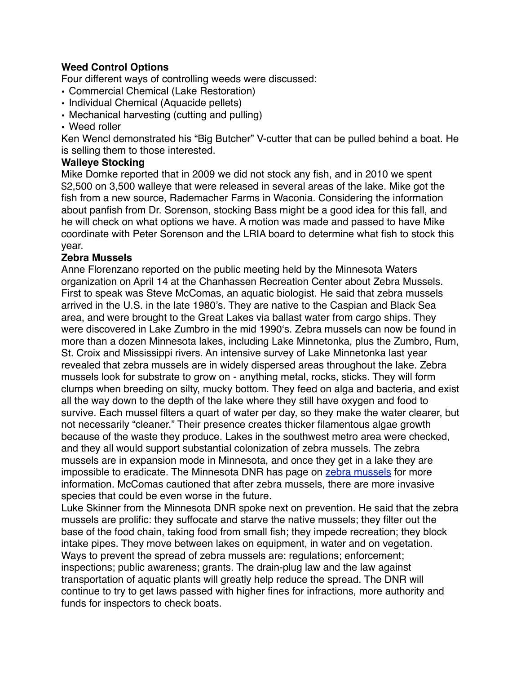### **Weed Control Options**

Four different ways of controlling weeds were discussed:

- Commercial Chemical (Lake Restoration)
- Individual Chemical (Aquacide pellets)
- Mechanical harvesting (cutting and pulling)
- Weed roller

Ken Wencl demonstrated his "Big Butcher" V-cutter that can be pulled behind a boat. He is selling them to those interested.

#### **Walleye Stocking**

Mike Domke reported that in 2009 we did not stock any fish, and in 2010 we spent \$2,500 on 3,500 walleye that were released in several areas of the lake. Mike got the fish from a new source, Rademacher Farms in Waconia. Considering the information about panfish from Dr. Sorenson, stocking Bass might be a good idea for this fall, and he will check on what options we have. A motion was made and passed to have Mike coordinate with Peter Sorenson and the LRIA board to determine what fish to stock this year.

#### **Zebra Mussels**

Anne Florenzano reported on the public meeting held by the Minnesota Waters organization on April 14 at the Chanhassen Recreation Center about Zebra Mussels. First to speak was Steve McComas, an aquatic biologist. He said that zebra mussels arrived in the U.S. in the late 1980's. They are native to the Caspian and Black Sea area, and were brought to the Great Lakes via ballast water from cargo ships. They were discovered in Lake Zumbro in the mid 1990ʻs. Zebra mussels can now be found in more than a dozen Minnesota lakes, including Lake Minnetonka, plus the Zumbro, Rum, St. Croix and Mississippi rivers. An intensive survey of Lake Minnetonka last year revealed that zebra mussels are in widely dispersed areas throughout the lake. Zebra mussels look for substrate to grow on - anything metal, rocks, sticks. They will form clumps when breeding on silty, mucky bottom. They feed on alga and bacteria, and exist all the way down to the depth of the lake where they still have oxygen and food to survive. Each mussel filters a quart of water per day, so they make the water clearer, but not necessarily "cleaner." Their presence creates thicker filamentous algae growth because of the waste they produce. Lakes in the southwest metro area were checked, and they all would support substantial colonization of zebra mussels. The zebra mussels are in expansion mode in Minnesota, and once they get in a lake they are impossible to eradicate. The Minnesota DNR has page on [zebra mussels](http://www.dnr.state.mn.us/invasives/aquaticanimals/zebramussel/index.html) for more information. McComas cautioned that after zebra mussels, there are more invasive species that could be even worse in the future.

Luke Skinner from the Minnesota DNR spoke next on prevention. He said that the zebra mussels are prolific: they suffocate and starve the native mussels; they filter out the base of the food chain, taking food from small fish; they impede recreation; they block intake pipes. They move between lakes on equipment, in water and on vegetation. Ways to prevent the spread of zebra mussels are: regulations; enforcement; inspections; public awareness; grants. The drain-plug law and the law against transportation of aquatic plants will greatly help reduce the spread. The DNR will continue to try to get laws passed with higher fines for infractions, more authority and funds for inspectors to check boats.